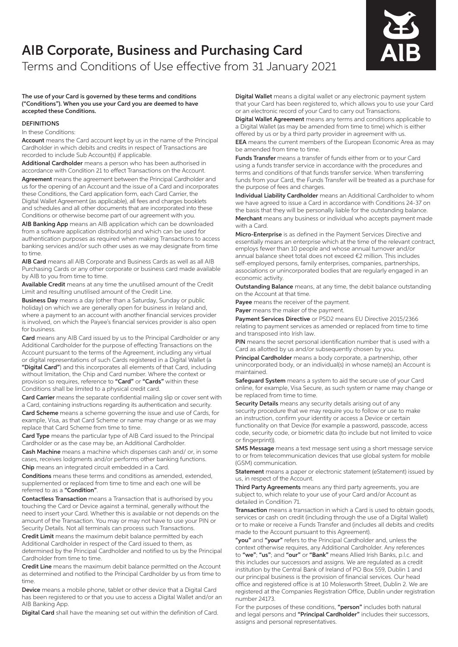# AIB Corporate, Business and Purchasing Card Terms and Conditions of Use effective from 31 January 2021

The use of your Card is governed by these terms and conditions ("Conditions"). When you use your Card you are deemed to have accepted these Conditions.

# DEFINITIONS

#### In these Conditions:

Account means the Card account kept by us in the name of the Principal Cardholder in which debits and credits in respect of Transactions are recorded to include Sub Account(s) if applicable.

Additional Cardholder means a person who has been authorised in accordance with Condition 21 to effect Transactions on the Account.

Agreement means the agreement between the Principal Cardholder and us for the opening of an Account and the issue of a Card and incorporates these Conditions, the Card application form, each Card Carrier, the Digital Wallet Agreement (as applicable), all fees and charges booklets and schedules and all other documents that are incorporated into these Conditions or otherwise become part of our agreement with you.

AIB Banking App means an AIB application which can be downloaded from a software application distributor(s) and which can be used for authentication purposes as required when making Transactions to access banking services and/or such other uses as we may designate from time to time.

AIB Card means all AIB Corporate and Business Cards as well as all AIB Purchasing Cards or any other corporate or business card made available by AIB to you from time to time.

Available Credit means at any time the unutilised amount of the Credit Limit and resulting unutilised amount of the Credit Line.

Business Day means a day (other than a Saturday, Sunday or public holiday) on which we are generally open for business in Ireland and, where a payment to an account with another financial services provider is involved, on which the Payee's financial services provider is also open for business.

Card means any AIB Card issued by us to the Principal Cardholder or any Additional Cardholder for the purpose of effecting Transactions on the Account pursuant to the terms of the Agreement, including any virtual or digital representations of such Cards registered in a Digital Wallet (a "Digital Card") and this incorporates all elements of that Card, including without limitation, the Chip and Card number. Where the context or provision so requires, reference to "Card" or "Cards" within these Conditions shall be limited to a physical credit card.

Card Carrier means the separate confidential mailing slip or cover sent with a Card, containing instructions regarding its authentication and security.

Card Scheme means a scheme governing the issue and use of Cards, for example, Visa, as that Card Scheme or name may change or as we may replace that Card Scheme from time to time.

Card Type means the particular type of AIB Card issued to the Principal Cardholder or as the case may be, an Additional Cardholder.

Cash Machine means a machine which dispenses cash and/ or, in some cases, receives lodgments and/or performs other banking functions. Chip means an integrated circuit embedded in a Card.

Conditions means these terms and conditions as amended, extended, supplemented or replaced from time to time and each one will be referred to as a "Condition".

Contactless Transaction means a Transaction that is authorised by you touching the Card or Device against a terminal, generally without the need to insert your Card. Whether this is available or not depends on the amount of the Transaction. You may or may not have to use your PIN or Security Details. Not all terminals can process such Transactions.

Credit Limit means the maximum debit balance permitted by each Additional Cardholder in respect of the Card issued to them, as determined by the Principal Cardholder and notified to us by the Principal Cardholder from time to time.

Credit Line means the maximum debit balance permitted on the Account as determined and notified to the Principal Cardholder by us from time to time.

Device means a mobile phone, tablet or other device that a Digital Card has been registered to or that you use to access a Digital Wallet and/or an AIB Banking App.

Digital Card shall have the meaning set out within the definition of Card.

Digital Wallet means a digital wallet or any electronic payment system that your Card has been registered to, which allows you to use your Card or an electronic record of your Card to carry out Transactions.

Digital Wallet Agreement means any terms and conditions applicable to a Digital Wallet (as may be amended from time to time) which is either offered by us or by a third party provider in agreement with us.

EEA means the current members of the European Economic Area as may be amended from time to time.

Funds Transfer means a transfer of funds either from or to your Card using a funds transfer service in accordance with the procedures and terms and conditions of that funds transfer service. When transferring funds from your Card, the Funds Transfer will be treated as a purchase for the purpose of fees and charges.

Individual Liability Cardholder means an Additional Cardholder to whom we have agreed to issue a Card in accordance with Conditions 24-37 on the basis that they will be personally liable for the outstanding balance. Merchant means any business or individual who accepts payment made with a Card.

Micro-Enterprise is as defined in the Payment Services Directive and essentially means an enterprise which at the time of the relevant contract, employs fewer than 10 people and whose annual turnover and/or annual balance sheet total does not exceed €2 million. This includes self-employed persons, family enterprises, companies, partnerships, associations or unincorporated bodies that are regularly engaged in an economic activity.

Outstanding Balance means, at any time, the debit balance outstanding on the Account at that time.

Payee means the receiver of the payment.

Payer means the maker of the payment.

Payment Services Directive or PSD2 means EU Directive 2015/2366 relating to payment services as amended or replaced from time to time and transposed into Irish law.

PIN means the secret personal identification number that is used with a Card as allotted by us and/or subsequently chosen by you.

Principal Cardholder means a body corporate, a partnership, other unincorporated body, or an individual(s) in whose name(s) an Account is maintained.

Safeguard System means a system to aid the secure use of your Card online, for example, Visa Secure, as such system or name may change or be replaced from time to time.

Security Details means any security details arising out of any security procedure that we may require you to follow or use to make an instruction, confirm your identity or access a Device or certain functionality on that Device (for example a password, passcode, access code, security code, or biometric data (to include but not limited to voice or fingerprint)).

SMS Message means a text message sent using a short message service to or from telecommunication devices that use global system for mobile (GSM) communication.

Statement means a paper or electronic statement (eStatement) issued by us, in respect of the Account.

Third Party Agreements means any third party agreements, you are subject to, which relate to your use of your Card and/or Account as detailed in Condition 71.

Transaction means a transaction in which a Card is used to obtain goods, services or cash on credit (including through the use of a Digital Wallet) or to make or receive a Funds Transfer and (includes all debits and credits made to the Account pursuant to this Agreement).

"you" and "your" refers to the Principal Cardholder and, unless the context otherwise requires, any Additional Cardholder. Any references to "we"; "us"; and "our" or "Bank" means Allied Irish Banks, p.l.c. and this includes our successors and assigns. We are regulated as a credit institution by the Central Bank of Ireland of PO Box 559, Dublin 1 and our principal business is the provision of financial services. Our head office and registered office is at 10 Molesworth Street, Dublin 2. We are registered at the Companies Registration Office, Dublin under registration number 24173.

For the purposes of these conditions, "person" includes both natural and legal persons and "Principal Cardholder" includes their successors, assigns and personal representatives.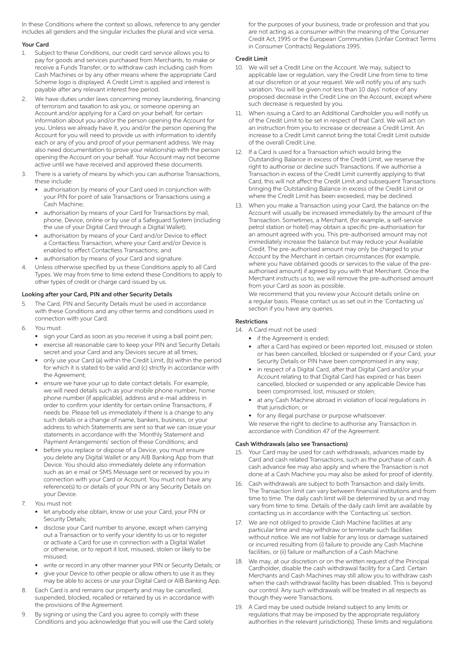In these Conditions where the context so allows, reference to any gender includes all genders and the singular includes the plural and vice versa.

# Your Card

- 1. Subject to these Conditions, our credit card service allows you to pay for goods and services purchased from Merchants, to make or receive a Funds Transfer, or to withdraw cash including cash from Cash Machines or by any other means where the appropriate Card Scheme logo is displayed. A Credit Limit is applied and interest is payable after any relevant interest free period.
- We have duties under laws concerning money laundering, financing of terrorism and taxation to ask you, or someone opening an Account and/or applying for a Card on your behalf, for certain information about you and/or the person opening the Account for you. Unless we already have it, you and/or the person opening the Account for you will need to provide us with information to identify each or any of you and proof of your permanent address. We may also need documentation to prove your relationship with the person opening the Account on your behalf. Your Account may not become active until we have received and approved these documents.
- 3. There is a variety of means by which you can authorise Transactions, these include:
	- authorisation by means of your Card used in conjunction with your PIN for point of sale Transactions or Transactions using a Cash Machine;
	- authorisation by means of your Card for Transactions by mail, phone, Device, online or by use of a Safeguard System (including the use of your Digital Card through a Digital Wallet);
	- authorisation by means of your Card and/or Device to effect a Contactless Transaction, where your Card and/or Device is enabled to effect Contactless Transactions; and
	- authorisation by means of your Card and signature.
- 4. Unless otherwise specified by us these Conditions apply to all Card Types. We may from time to time extend these Conditions to apply to other types of credit or charge card issued by us.

# Looking after your Card, PIN and other Security Details

- The Card, PIN and Security Details must be used in accordance with these Conditions and any other terms and conditions used in connection with your Card.
- 6. You must:
	- sign your Card as soon as you receive it using a ball point pen;
	- exercise all reasonable care to keep your PIN and Security Details secret and your Card and any Devices secure at all times;
	- only use your Card (a) within the Credit Limit, (b) within the period for which it is stated to be valid and (c) strictly in accordance with the Agreement;
	- ensure we have your up to date contact details. For example, we will need details such as your mobile phone number, home phone number (if applicable), address and e-mail address in order to confirm your identity for certain online Transactions, if needs be. Please tell us immediately if there is a change to any such details or a change of name, bankers, business, or your address to which Statements are sent so that we can issue your statements in accordance with the 'Monthly Statement and Payment Arrangements' section of these Conditions; and
	- before you replace or dispose of a Device, you must ensure you delete any Digital Wallet or any AIB Banking App from that Device. You should also immediately delete any information such as an e mail or SMS Message sent or received by you in connection with your Card or Account. You must not have any reference(s) to or details of your PIN or any Security Details on your Device.
- 7. You must not:
	- let anybody else obtain, know or use your Card, your PIN or Security Details;
	- disclose your Card number to anyone, except when carrying out a Transaction or to verify your identity to us or to register or activate a Card for use in connection with a Digital Wallet or otherwise, or to report it lost, misused, stolen or likely to be misused;
	- write or record in any other manner your PIN or Security Details; or
	- give your Device to other people or allow others to use it as they may be able to access or use your Digital Card or AIB Banking App.
- 8. Each Card is and remains our property and may be cancelled, suspended, blocked, recalled or retained by us in accordance with the provisions of the Agreement.
- 9. By signing or using the Card you agree to comply with these Conditions and you acknowledge that you will use the Card solely

for the purposes of your business, trade or profession and that you are not acting as a consumer within the meaning of the Consumer Credit Act, 1995 or the European Communities (Unfair Contract Terms in Consumer Contracts) Regulations 1995.

# Credit Limit

- 10. We will set a Credit Line on the Account. We may, subject to applicable law or regulation, vary the Credit Line from time to time at our discretion or at your request. We will notify you of any such variation. You will be given not less than 10 days' notice of any proposed decrease in the Credit Line on the Account, except where such decrease is requested by you.
- 11. When issuing a Card to an Additional Cardholder you will notify us of the Credit Limit to be set in respect of that Card. We will act on an instruction from you to increase or decrease a Credit Limit. An increase to a Credit Limit cannot bring the total Credit Limit outside of the overall Credit Line.
- 12. If a Card is used for a Transaction which would bring the Outstanding Balance in excess of the Credit Limit, we reserve the right to authorise or decline such Transactions. If we authorise a Transaction in excess of the Credit Limit currently applying to that Card, this will not affect the Credit Limit and subsequent Transactions bringing the Outstanding Balance in excess of the Credit Limit or where the Credit Limit has been exceeded, may be declined.
- 13. When you make a Transaction using your Card, the balance on the Account will usually be increased immediately by the amount of the Transaction. Sometimes, a Merchant, (for example, a self-service petrol station or hotel) may obtain a specific pre-authorisation for an amount agreed with you. This pre-authorised amount may not immediately increase the balance but may reduce your Available Credit. The pre-authorised amount may only be charged to your Account by the Merchant in certain circumstances (for example, where you have obtained goods or services to the value of the preauthorised amount) if agreed by you with that Merchant. Once the Merchant instructs us to, we will remove the pre-authorised amount from your Card as soon as possible.

 We recommend that you review your Account details online on a regular basis. Please contact us as set out in the 'Contacting us' section if you have any queries.

# Restrictions

- 14. A Card must not be used:
	- if the Agreement is ended:
	- after a Card has expired or been reported lost, misused or stolen or has been cancelled, blocked or suspended or if your Card, your Security Details or PIN have been compromised in any way;
	- in respect of a Digital Card, after that Digital Card and/or your Account relating to that Digital Card has expired or has been cancelled, blocked or suspended or any applicable Device has been compromised, lost, misused or stolen;
	- at any Cash Machine abroad in violation of local regulations in that jurisdiction; or
	- for any illegal purchase or purpose whatsoever. We reserve the right to decline to authorise any Transaction in accordance with Condition 47 of the Agreement.

# Cash Withdrawals (also see Transactions)

- 15. Your Card may be used for cash withdrawals, advances made by Card and cash related Transactions, such as the purchase of cash. A cash advance fee may also apply and where the Transaction is not done at a Cash Machine you may also be asked for proof of identity.
- 16. Cash withdrawals are subject to both Transaction and daily limits. The Transaction limit can vary between financial institutions and from time to time. The daily cash limit will be determined by us and may vary from time to time. Details of the daily cash limit are available by contacting us in accordance with the 'Contacting us' section.
- 17. We are not obliged to provide Cash Machine facilities at any particular time and may withdraw or terminate such facilities without notice. We are not liable for any loss or damage sustained or incurred resulting from (i) failure to provide any Cash Machine facilities, or (ii) failure or malfunction of a Cash Machine.
- 18. We may, at our discretion or on the written request of the Principal Cardholder, disable the cash withdrawal facility for a Card. Certain Merchants and Cash Machines may still allow you to withdraw cash when the cash withdrawal facility has been disabled. This is beyond our control. Any such withdrawals will be treated in all respects as though they were Transactions.
- 19. A Card may be used outside Ireland subject to any limits or regulations that may be imposed by the appropriate regulatory authorities in the relevant jurisdiction(s). These limits and regulations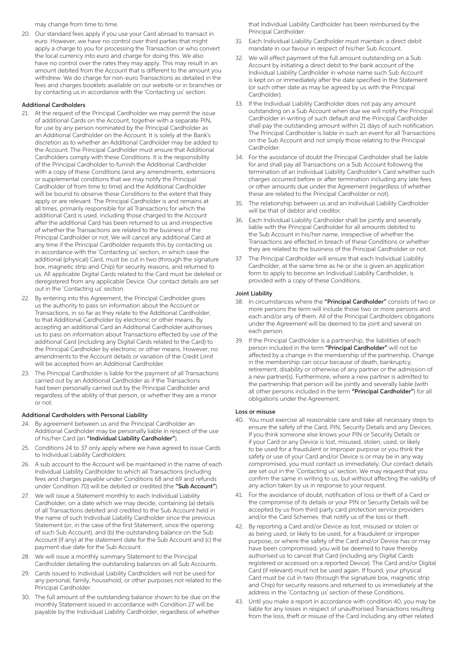may change from time to time.

20. Our standard fees apply if you use your Card abroad to transact in euro. However, we have no control over third parties that might apply a charge to you for processing the Transaction or who convert the local currency into euro and charge for doing this. We also have no control over the rates they may apply. This may result in an amount debited from the Account that is different to the amount you withdrew. We do charge for non-euro Transactions as detailed in the fees and charges booklets available on our website or in branches or by contacting us in accordance with the 'Contacting us' section.

#### Additional Cardholders

- 21. At the request of the Principal Cardholder we may permit the issue of additional Cards on the Account, together with a separate PIN, for use by any person nominated by the Principal Cardholder as an Additional Cardholder on the Account. It is solely at the Bank's discretion as to whether an Additional Cardholder may be added to the Account. The Principal Cardholder must ensure that Additional Cardholders comply with these Conditions. It is the responsibility of the Principal Cardholder to furnish the Additional Cardholder with a copy of these Conditions (and any amendments, extensions or supplemental conditions that we may notify the Principal Cardholder of from time to time) and the Additional Cardholder will be bound to observe these Conditions to the extent that they apply or are relevant. The Principal Cardholder is and remains at all times, primarily responsible for all Transactions for which the additional Card is used, including those charged to the Account after the additional Card has been returned to us and irrespective of whether the Transactions are related to the business of the Principal Cardholder or not. We will cancel any additional Card at any time if the Principal Cardholder requests this by contacting us in accordance with the 'Contacting us' section, in which case the additional (physical) Card, must be cut in two (through the signature box, magnetic strip and Chip) for security reasons, and returned to us. All applicable Digital Cards related to the Card must be deleted or deregistered from any applicable Device. Our contact details are set out in the 'Contacting us' section.
- 22. By entering into this Agreement, the Principal Cardholder gives us the authority to pass on information about the Account or Transactions, in so far as they relate to the Additional Cardholder, to that Additional Cardholder by electronic or other means. By accepting an additional Card an Additional Cardholder authorises us to pass on information about Transactions effected by use of the additional Card (including any Digital Cards related to the Card) to the Principal Cardholder by electronic or other means. However, no amendments to the Account details or variation of the Credit Limit will be accepted from an Additional Cardholder.
- 23. The Principal Cardholder is liable for the payment of all Transactions carried out by an Additional Cardholder as if the Transactions had been personally carried out by the Principal Cardholder and regardless of the ability of that person, or whether they are a minor or not.

#### Additional Cardholders with Personal Liability

- 24. By agreement between us and the Principal Cardholder an Additional Cardholder may be personally liable in respect of the use of his/her Card (an "Individual Liability Cardholder").
- 25. Conditions 24 to 37 only apply where we have agreed to issue Cards to Individual Liability Cardholders.
- 26. A sub account to the Account will be maintained in the name of each Individual Liability Cardholder to which all Transactions (including fees and charges payable under Conditions 68 and 69 and refunds under Condition 70) will be debited or credited (the "Sub Account").
- 27. We will issue a Statement monthly to each Individual Liability Cardholder, on a date which we may decide, containing (a) details of all Transactions debited and credited to the Sub Account held in the name of such Individual Liability Cardholder since the previous Statement (or, in the case of the first Statement, since the opening of such Sub Account), and (b) the outstanding balance on the Sub Account (if any) at the statement date for the Sub Account and (c) the payment due date for the Sub Account.
- 28. We will issue a monthly summary Statement to the Principal Cardholder detailing the outstanding balances on all Sub Accounts.
- 29. Cards issued to Individual Liability Cardholders will not be used for any personal, family, household, or other purposes not related to the Principal Cardholder.
- 30. The full amount of the outstanding balance shown to be due on the monthly Statement issued in accordance with Condition 27 will be payable by the Individual Liability Cardholder, regardless of whether

that Individual Liability Cardholder has been reimbursed by the Principal Cardholder.

- 31. Each Individual Liability Cardholder must maintain a direct debit mandate in our favour in respect of his/her Sub Account.
- 32. We will effect payment of the full amount outstanding on a Sub Account by initiating a direct debit to the bank account of the Individual Liability Cardholder in whose name such Sub Account is kept on or immediately after the date specified in the Statement (or such other date as may be agreed by us with the Principal Cardholder).
- 33. If the Individual Liability Cardholder does not pay any amount outstanding on a Sub Account when due we will notify the Principal Cardholder in writing of such default and the Principal Cardholder shall pay the outstanding amount within 21 days of such notification. The Principal Cardholder is liable in such an event for all Transactions on the Sub Account and not simply those relating to the Principal Cardholder.
- 34. For the avoidance of doubt the Principal Cardholder shall be liable for and shall pay all Transactions on a Sub Account following the termination of an Individual Liability Cardholder's Card whether such charges occurred before or after termination including any late fees or other amounts due under the Agreement (regardless of whether these are related to the Principal Cardholder or not).
- 35. The relationship between us and an Individual Liability Cardholder will be that of debtor and creditor.
- 36. Each Individual Liability Cardholder shall be jointly and severally liable with the Principal Cardholder for all amounts debited to the Sub Account in his/her name, irrespective of whether the Transactions are effected in breach of these Conditions or whether they are related to the business of the Principal Cardholder or not.
- 37. The Principal Cardholder will ensure that each Individual Liability Cardholder, at the same time as he or she is given an application form to apply to become an Individual Liability Cardholder, is provided with a copy of these Conditions.

#### Joint Liability

- 38. In circumstances where the "Principal Cardholder" consists of two or more persons the term will include those two or more persons and each and/or any of them. All of the Principal Cardholders obligations under the Agreement will be deemed to be joint and several on each person.
- 39. If the Principal Cardholder is a partnership, the liabilities of each person included in the term "Principal Cardholder" will not be affected by a change in the membership of the partnership. Change in the membership can occur because of death, bankruptcy, retirement, disability or otherwise of any partner or the admission of a new partner(s). Furthermore, where a new partner is admitted to the partnership that person will be jointly and severally liable (with all other persons included in the term "Principal Cardholder") for all obligations under the Agreement.

#### Loss or misuse

- 40. You must exercise all reasonable care and take all necessary steps to ensure the safety of the Card, PIN, Security Details and any Devices. If you think someone else knows your PIN or Security Details or if your Card or any Device is lost, misused, stolen, used, or likely to be used for a fraudulent or improper purpose or you think the safety or use of your Card and/or Device is or may be in any way compromised, you must contact us immediately. Our contact details are set out in the `Contacting us' section. We may request that you confirm the same in writing to us, but without affecting the validity of any action taken by us in response to your request.
- 41. For the avoidance of doubt, notification of loss or theft of a Card or the compromise of its details or your PIN or Security Details will be accepted by us from third party card protection service providers and/or the Card Schemes that notify us of the loss or theft.
- 42. By reporting a Card and/or Device as lost, misused or stolen or as being used, or likely to be used, for a fraudulent or improper purpose, or where the safety of the Card and/or Device has or may have been compromised, you will be deemed to have thereby authorised us to cancel that Card (including any Digital Cards registered or accessed on a reported Device). The Card and/or Digital Card (if relevant) must not be used again. If found, your physical Card must be cut in two (through the signature box, magnetic strip and Chip) for security reasons and returned to us immediately at the address in the 'Contacting us' section of these Conditions.
- 43. Until you make a report in accordance with condition 40, you may be liable for any losses in respect of unauthorised Transactions resulting from the loss, theft or misuse of the Card including any other related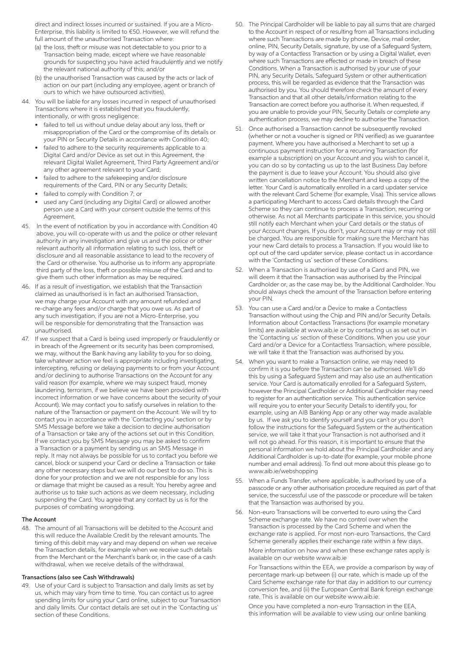direct and indirect losses incurred or sustained. If you are a Micro-Enterprise, this liability is limited to €50. However, we will refund the full amount of the unauthorised Transaction where:

- (a) the loss, theft or misuse was not detectable to you prior to a Transaction being made, except where we have reasonable grounds for suspecting you have acted fraudulently and we notify the relevant national authority of this; and/or
- (b) the unauthorised Transaction was caused by the acts or lack of action on our part (including any employee, agent or branch of ours to which we have outsourced activities).
- 44. You will be liable for any losses incurred in respect of unauthorised Transactions where it is established that you fraudulently, intentionally, or with gross negligence:
	- failed to tell us without undue delay about any loss, theft or misappropriation of the Card or the compromise of its details or your PIN or Security Details in accordance with Condition 40;
	- failed to adhere to the security requirements applicable to a Digital Card and/or Device as set out in this Agreement, the relevant Digital Wallet Agreement, Third Party Agreement and/or any other agreement relevant to your Card;
	- failed to adhere to the safekeeping and/or disclosure requirements of the Card, PIN or any Security Details;
	- failed to comply with Condition 7; or
	- used any Card (including any Digital Card) or allowed another person use a Card with your consent outside the terms of this Agreement.
- 45. In the event of notification by you in accordance with Condition 40 above, you will co-operate with us and the police or other relevant authority in any investigation and give us and the police or other relevant authority all information relating to such loss, theft or disclosure and all reasonable assistance to lead to the recovery of the Card or otherwise. You authorise us to inform any appropriate third party of the loss, theft or possible misuse of the Card and to give them such other information as may be required.
- 46. If as a result of investigation, we establish that the Transaction claimed as unauthorised is in fact an authorised Transaction, we may charge your Account with any amount refunded and re-charge any fees and/or charge that you owe us. As part of any such investigation, if you are not a Micro-Enterprise, you will be responsible for demonstrating that the Transaction was unauthorised.
- 47. If we suspect that a Card is being used improperly or fraudulently or in breach of the Agreement or its security has been compromised, we may, without the Bank having any liability to you for so doing, take whatever action we feel is appropriate including investigating, intercepting, refusing or delaying payments to or from your Account and/or declining to authorise Transactions on the Account for any valid reason (for example, where we may suspect fraud, money laundering, terrorism, if we believe we have been provided with incorrect information or we have concerns about the security of your Account). We may contact you to satisfy ourselves in relation to the nature of the Transaction or payment on the Account. We will try to contact you in accordance with the `Contacting you' section or by SMS Message before we take a decision to decline authorisation of a Transaction or take any of the actions set out in this Condition. If we contact you by SMS Message you may be asked to confirm a Transaction or a payment by sending us an SMS Message in reply. It may not always be possible for us to contact you before we cancel, block or suspend your Card or decline a Transaction or take any other necessary steps but we will do our best to do so. This is done for your protection and we are not responsible for any loss or damage that might be caused as a result. You hereby agree and authorise us to take such actions as we deem necessary, including suspending the Card. You agree that any contact by us is for the purposes of combating wrongdoing.

#### The Account

48. The amount of all Transactions will be debited to the Account and this will reduce the Available Credit by the relevant amounts. The timing of this debit may vary and may depend on when we receive the Transaction details, for example when we receive such details from the Merchant or the Merchant's bank or, in the case of a cash withdrawal, when we receive details of the withdrawal.

#### Transactions (also see Cash Withdrawals)

49. Use of your Card is subject to Transaction and daily limits as set by us, which may vary from time to time. You can contact us to agree spending limits for using your Card online, subject to our Transaction and daily limits. Our contact details are set out in the 'Contacting us' section of these Conditions.

- 50. The Principal Cardholder will be liable to pay all sums that are charged to the Account in respect of or resulting from all Transactions including where such Transactions are made by phone, Device, mail order, online, PIN, Security Details, signature, by use of a Safeguard System, by way of a Contactless Transaction or by using a Digital Wallet, even where such Transactions are effected or made in breach of these Conditions. When a Transaction is authorised by your use of your PIN, any Security Details, Safeguard System or other authentication process, this will be regarded as evidence that the Transaction was authorised by you. You should therefore check the amount of every Transaction and that all other details/information relating to the Transaction are correct before you authorise it. When requested, if you are unable to provide your PIN, Security Details or complete any authentication process, we may decline to authorise the Transaction.
- 51. Once authorised a Transaction cannot be subsequently revoked (whether or not a voucher is signed or PIN verified) as we guarantee payment. Where you have authorised a Merchant to set up a continuous payment instruction for a recurring Transaction (for example a subscription) on your Account and you wish to cancel it, you can do so by contacting us up to the last Business Day before the payment is due to leave your Account. You should also give written cancellation notice to the Merchant and keep a copy of the letter. Your Card is automatically enrolled in a card updater service with the relevant Card Scheme (for example, Visa). This service allows a participating Merchant to access Card details through the Card Scheme so they can continue to process a Transaction, recurring or otherwise. As not all Merchants participate in this service, you should still notify each Merchant when your Card details or the status of your Account changes. If you don't, your Account may or may not still be charged. You are responsible for making sure the Merchant has your new Card details to process a Transaction. If you would like to opt out of the card updater service, please contact us in accordance with the 'Contacting us' section of these Conditions.
- 52. When a Transaction is authorised by use of a Card and PIN, we will deem it that the Transaction was authorised by the Principal Cardholder or, as the case may be, by the Additional Cardholder. You should always check the amount of the Transaction before entering your PIN.
- 53. You can use a Card and/or a Device to make a Contactless Transaction without using the Chip and PIN and/or Security Details. Information about Contactless Transactions (for example monetary limits) are available at www.aib.ie or by contacting us as set out in the `Contacting us' section of these Conditions. When you use your Card and/or a Device for a Contactless Transaction, where possible, we will take it that the Transaction was authorised by you.
- 54. When you want to make a Transaction online, we may need to confirm it is you before the Transaction can be authorised. We'll do this by using a Safeguard System and may also use an authentication service. Your Card is automatically enrolled for a Safeguard System, however the Principal Cardholder or Additional Cardholder may need to register for an authentication service. This authentication service will require you to enter your Security Details to identify you, for example, using an AIB Banking App or any other way made available by us. If we ask you to identify yourself and you can't or you don't follow the instructions for the Safeguard System or the authentication service, we will take it that your Transaction is not authorised and it will not go ahead. For this reason, it is important to ensure that the personal information we hold about the Principal Cardholder and any Additional Cardholder is up-to-date (for example, your mobile phone number and email address). To find out more about this please go to www.aib.ie/webshopping
- 55. When a Funds Transfer, where applicable, is authorised by use of a passcode or any other authorisation procedure required as part of that service, the successful use of the passcode or procedure will be taken that the Transaction was authorised by you.
- 56. Non-euro Transactions will be converted to euro using the Card Scheme exchange rate. We have no control over when the Transaction is processed by the Card Scheme and when the exchange rate is applied. For most non-euro Transactions, the Card Scheme generally applies their exchange rate within a few days.

 More information on how and when these exchange rates apply is available on our website www.aib.ie

 For Transactions within the EEA, we provide a comparison by way of percentage mark-up between (i) our rate, which is made up of the Card Scheme exchange rate for that day in addition to our currency conversion fee, and (ii) the European Central Bank foreign exchange rate. This is available on our website www.aib.ie.

 Once you have completed a non-euro Transaction in the EEA, this information will be available to view using our online banking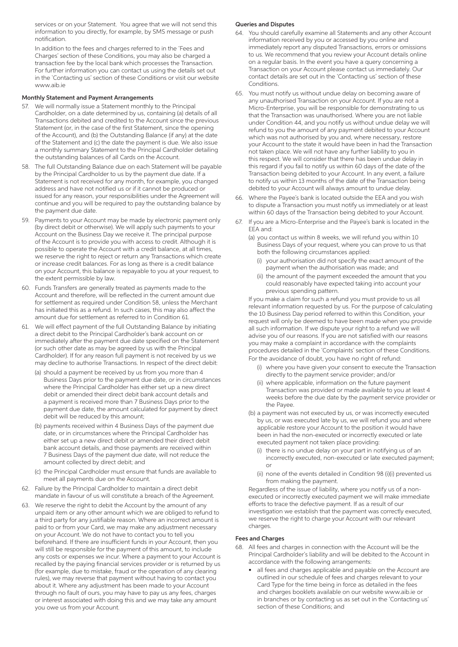services or on your Statement. You agree that we will not send this information to you directly, for example, by SMS message or push notification.

 In addition to the fees and charges referred to in the 'Fees and Charges' section of these Conditions, you may also be charged a transaction fee by the local bank which processes the Transaction. For further information you can contact us using the details set out in the `Contacting us' section of these Conditions or visit our website www.aib.ie

#### Monthly Statement and Payment Arrangements

- 57. We will normally issue a Statement monthly to the Principal Cardholder, on a date determined by us, containing (a) details of all Transactions debited and credited to the Account since the previous Statement (or, in the case of the first Statement, since the opening of the Account), and (b) the Outstanding Balance (if any) at the date of the Statement and (c) the date the payment is due. We also issue a monthly summary Statement to the Principal Cardholder detailing the outstanding balances of all Cards on the Account.
- 58. The full Outstanding Balance due on each Statement will be payable by the Principal Cardholder to us by the payment due date. If a Statement is not received for any month, for example, you changed address and have not notified us or if it cannot be produced or issued for any reason, your responsibilities under the Agreement will continue and you will be required to pay the outstanding balance by the payment due date.
- 59. Payments to your Account may be made by electronic payment only (by direct debit or otherwise). We will apply such payments to your Account on the Business Day we receive it. The principal purpose of the Account is to provide you with access to credit. Although it is possible to operate the Account with a credit balance, at all times, we reserve the right to reject or return any Transactions which create or increase credit balances. For as long as there is a credit balance on your Account, this balance is repayable to you at your request, to the extent permissible by law.
- 60. Funds Transfers are generally treated as payments made to the Account and therefore, will be reflected in the current amount due for settlement as required under Condition 58, unless the Merchant has initiated this as a refund. In such cases, this may also affect the amount due for settlement as referred to in Condition 61.
- 61. We will effect payment of the full Outstanding Balance by initiating a direct debit to the Principal Cardholder's bank account on or immediately after the payment due date specified on the Statement (or such other date as may be agreed by us with the Principal Cardholder). If for any reason full payment is not received by us we may decline to authorise Transactions. In respect of the direct debit:
	- (a) should a payment be received by us from you more than 4 Business Days prior to the payment due date, or in circumstances where the Principal Cardholder has either set up a new direct debit or amended their direct debit bank account details and a payment is received more than 7 Business Days prior to the payment due date, the amount calculated for payment by direct debit will be reduced by this amount;
	- (b) payments received within 4 Business Days of the payment due date, or in circumstances where the Principal Cardholder has either set up a new direct debit or amended their direct debit bank account details, and those payments are received within 7 Business Days of the payment due date, will not reduce the amount collected by direct debit; and
	- (c) the Principal Cardholder must ensure that funds are available to meet all payments due on the Account.
- 62. Failure by the Principal Cardholder to maintain a direct debit mandate in favour of us will constitute a breach of the Agreement.
- 63. We reserve the right to debit the Account by the amount of any unpaid item or any other amount which we are obliged to refund to a third party for any justifiable reason. Where an incorrect amount is paid to or from your Card, we may make any adjustment necessary on your Account. We do not have to contact you to tell you beforehand. If there are insufficient funds in your Account, then you will still be responsible for the payment of this amount, to include any costs or expenses we incur. Where a payment to your Account is recalled by the paying financial services provider or is returned by us (for example, due to mistake, fraud or the operation of any clearing rules), we may reverse that payment without having to contact you about it. Where any adjustment has been made to your Account through no fault of ours, you may have to pay us any fees, charges or interest associated with doing this and we may take any amount you owe us from your Account.

#### Queries and Disputes

- 64. You should carefully examine all Statements and any other Account information received by you or accessed by you online and immediately report any disputed Transactions, errors or omissions to us. We recommend that you review your Account details online on a regular basis. In the event you have a query concerning a Transaction on your Account please contact us immediately. Our contact details are set out in the 'Contacting us' section of these **Conditions**
- 65. You must notify us without undue delay on becoming aware of any unauthorised Transaction on your Account. If you are not a Micro-Enterprise, you will be responsible for demonstrating to us that the Transaction was unauthorised. Where you are not liable under Condition 44, and you notify us without undue delay we will refund to you the amount of any payment debited to your Account which was not authorised by you and, where necessary, restore your Account to the state it would have been in had the Transaction not taken place. We will not have any further liability to you in this respect. We will consider that there has been undue delay in this regard if you fail to notify us within 60 days of the date of the Transaction being debited to your Account. In any event, a failure to notify us within 13 months of the date of the Transaction being debited to your Account will always amount to undue delay.
- 66. Where the Payee's bank is located outside the EEA and you wish to dispute a Transaction you must notify us immediately or at least within 60 days of the Transaction being debited to your Account.
- 67. If you are a Micro-Enterprise and the Payee's bank is located in the EEA and:
	- (a) you contact us within 8 weeks, we will refund you within 10 Business Days of your request, where you can prove to us that both the following circumstances applied:
		- (i) your authorisation did not specify the exact amount of the payment when the authorisation was made; and
		- (ii) the amount of the payment exceeded the amount that you could reasonably have expected taking into account your previous spending pattern.

 If you make a claim for such a refund you must provide to us all relevant information requested by us. For the purpose of calculating the 10 Business Day period referred to within this Condition, your request will only be deemed to have been made when you provide all such information. If we dispute your right to a refund we will advise you of our reasons. If you are not satisfied with our reasons you may make a complaint in accordance with the complaints procedures detailed in the 'Complaints' section of these Conditions. For the avoidance of doubt, you have no right of refund:

- (i) where you have given your consent to execute the Transaction directly to the payment service provider; and/or
- (ii) where applicable, information on the future payment Transaction was provided or made available to you at least 4 weeks before the due date by the payment service provider or the Payee.
- (b) a payment was not executed by us, or was incorrectly executed by us, or was executed late by us, we will refund you and where applicable restore your Account to the position it would have been in had the non-executed or incorrectly executed or late executed payment not taken place providing:
	- (i) there is no undue delay on your part in notifying us of an incorrectly executed, non-executed or late executed payment; or
	- (ii) none of the events detailed in Condition 98 (i)(i) prevented us from making the payment.

 Regardless of the issue of liability, where you notify us of a nonexecuted or incorrectly executed payment we will make immediate efforts to trace the defective payment. If as a result of our investigation we establish that the payment was correctly executed, we reserve the right to charge your Account with our relevant charges.

#### Fees and Charges

- 68. All fees and charges in connection with the Account will be the Principal Cardholder's liability and will be debited to the Account in accordance with the following arrangements:
	- all fees and charges applicable and payable on the Account are outlined in our schedule of fees and charges relevant to your Card Type for the time being in force as detailed in the fees and charges booklets available on our website www.aib.ie or in branches or by contacting us as set out in the 'Contacting us' section of these Conditions; and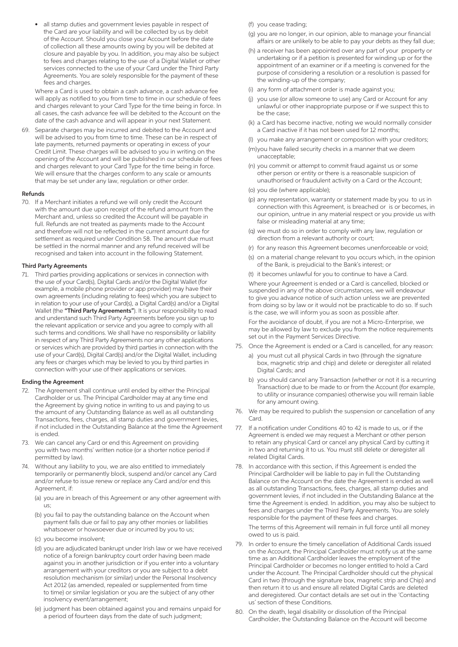all stamp duties and government levies payable in respect of the Card are your liability and will be collected by us by debit of the Account. Should you close your Account before the date of collection all these amounts owing by you will be debited at closure and payable by you. In addition, you may also be subject to fees and charges relating to the use of a Digital Wallet or other services connected to the use of your Card under the Third Party Agreements. You are solely responsible for the payment of these fees and charges.

 Where a Card is used to obtain a cash advance, a cash advance fee will apply as notified to you from time to time in our schedule of fees and charges relevant to your Card Type for the time being in force. In all cases, the cash advance fee will be debited to the Account on the date of the cash advance and will appear in your next Statement.

69. Separate charges may be incurred and debited to the Account and will be advised to you from time to time. These can be in respect of late payments, returned payments or operating in excess of your Credit Limit. These charges will be advised to you in writing on the opening of the Account and will be published in our schedule of fees and charges relevant to your Card Type for the time being in force. We will ensure that the charges conform to any scale or amounts that may be set under any law, regulation or other order.

#### Refunds

70. If a Merchant initiates a refund we will only credit the Account with the amount due upon receipt of the refund amount from the Merchant and, unless so credited the Account will be payable in full. Refunds are not treated as payments made to the Account and therefore will not be reflected in the current amount due for settlement as required under Condition 58. The amount due must be settled in the normal manner and any refund received will be recognised and taken into account in the following Statement.

# Third Party Agreements

71. Third parties providing applications or services in connection with the use of your Card(s), Digital Cards and/or the Digital Wallet (for example, a mobile phone provider or app provider) may have their own agreements (including relating to fees) which you are subject to in relation to your use of your Card(s), a Digital Card(s) and/or a Digital Wallet (the "Third Party Agreements"). It is your responsibility to read and understand such Third Party Agreements before you sign up to the relevant application or service and you agree to comply with all such terms and conditions. We shall have no responsibility or liability in respect of any Third Party Agreements nor any other applications or services which are provided by third parties in connection with the use of your Card(s), Digital Card(s) and/or the Digital Wallet, including any fees or charges which may be levied to you by third parties in connection with your use of their applications or services.

#### Ending the Agreement

- 72. The Agreement shall continue until ended by either the Principal Cardholder or us. The Principal Cardholder may at any time end the Agreement by giving notice in writing to us and paying to us the amount of any Outstanding Balance as well as all outstanding Transactions, fees, charges, all stamp duties and government levies, if not included in the Outstanding Balance at the time the Agreement is ended.
- 73. We can cancel any Card or end this Agreement on providing you with two months' written notice (or a shorter notice period if permitted by law).
- 74. Without any liability to you, we are also entitled to immediately temporarily or permanently block, suspend and/or cancel any Card and/or refuse to issue renew or replace any Card and/or end this Agreement, if:
	- (a) you are in breach of this Agreement or any other agreement with us;
	- (b) you fail to pay the outstanding balance on the Account when payment falls due or fail to pay any other monies or liabilities whatsoever or howsoever due or incurred by you to us;
	- (c) you become insolvent;
	- (d) you are adjudicated bankrupt under Irish law or we have received notice of a foreign bankruptcy court order having been made against you in another jurisdiction or if you enter into a voluntary arrangement with your creditors or you are subject to a debt resolution mechanism (or similar) under the Personal Insolvency Act 2012 (as amended, repealed or supplemented from time to time) or similar legislation or you are the subject of any other insolvency event/arrangement;
	- (e) judgment has been obtained against you and remains unpaid for a period of fourteen days from the date of such judgment;
- (f) you cease trading;
- (g) you are no longer, in our opinion, able to manage your financial affairs or are unlikely to be able to pay your debts as they fall due;
- (h) a receiver has been appointed over any part of your property or undertaking or if a petition is presented for winding up or for the appointment of an examiner or if a meeting is convened for the purpose of considering a resolution or a resolution is passed for the winding-up of the company;
- (i) any form of attachment order is made against you;
- (j) you use (or allow someone to use) any Card or Account for any unlawful or other inappropriate purpose or if we suspect this to be the case;
- (k) a Card has become inactive, noting we would normally consider a Card inactive if it has not been used for 12 months;
- (l) you make any arrangement or composition with your creditors;
- (m) you have failed security checks in a manner that we deem unacceptable;
- (n) you commit or attempt to commit fraud against us or some other person or entity or there is a reasonable suspicion of unauthorised or fraudulent activity on a Card or the Account;
- (o) you die (where applicable);
- (p) any representation, warranty or statement made by you to us in connection with this Agreement, is breached or is or becomes, in our opinion, untrue in any material respect or you provide us with false or misleading material at any time;
- (q) we must do so in order to comply with any law, regulation or direction from a relevant authority or court;
- (r) for any reason this Agreement becomes unenforceable or void;
- (s) on a material change relevant to you occurs which, in the opinion of the Bank, is prejudicial to the Bank's interest; or
- (t) it becomes unlawful for you to continue to have a Card.

 Where your Agreement is ended or a Card is cancelled, blocked or suspended in any of the above circumstances, we will endeavour to give you advance notice of such action unless we are prevented from doing so by law or it would not be practicable to do so. If such is the case, we will inform you as soon as possible after.

 For the avoidance of doubt, if you are not a Micro-Enterprise, we may be allowed by law to exclude you from the notice requirements set out in the Payment Services Directive.

- 75. Once the Agreement is ended or a Card is cancelled, for any reason:
	- a) you must cut all physical Cards in two (through the signature box, magnetic strip and chip) and delete or deregister all related Digital Cards; and
	- b) you should cancel any Transaction (whether or not it is a recurring Transaction) due to be made to or from the Account (for example, to utility or insurance companies) otherwise you will remain liable for any amount owing.
- 76. We may be required to publish the suspension or cancellation of any Card.
- 77. If a notification under Conditions 40 to 42 is made to us, or if the Agreement is ended we may request a Merchant or other person to retain any physical Card or cancel any physical Card by cutting it in two and returning it to us. You must still delete or deregister all related Digital Cards.
- 78. In accordance with this section, if this Agreement is ended the Principal Cardholder will be liable to pay in full the Outstanding Balance on the Account on the date the Agreement is ended as well as all outstanding Transactions, fees, charges, all stamp duties and government levies, if not included in the Outstanding Balance at the time the Agreement is ended. In addition, you may also be subject to fees and charges under the Third Party Agreements. You are solely responsible for the payment of these fees and charges.

 The terms of this Agreement will remain in full force until all money owed to us is paid.

- 79. In order to ensure the timely cancellation of Additional Cards issued on the Account, the Principal Cardholder must notify us at the same time as an Additional Cardholder leaves the employment of the Principal Cardholder or becomes no longer entitled to hold a Card under the Account. The Principal Cardholder should cut the physical Card in two (through the signature box, magnetic strip and Chip) and then return it to us and ensure all related Digital Cards are deleted and deregistered. Our contact details are set out in the 'Contacting us' section of these Conditions.
- 80. On the death, legal disability or dissolution of the Principal Cardholder, the Outstanding Balance on the Account will become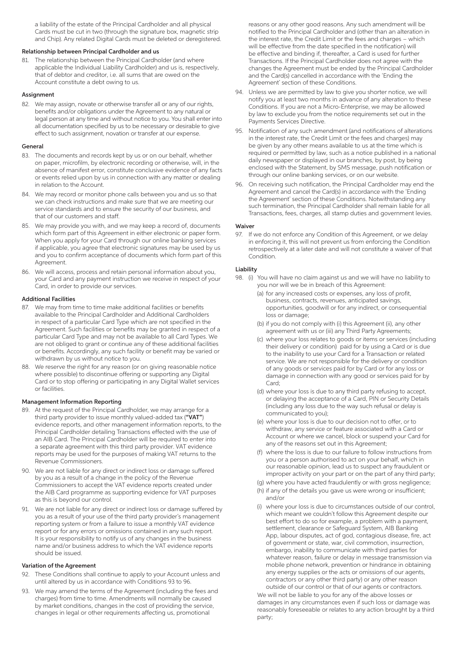a liability of the estate of the Principal Cardholder and all physical Cards must be cut in two (through the signature box, magnetic strip and Chip). Any related Digital Cards must be deleted or deregistered.

# Relationship between Principal Cardholder and us

81. The relationship between the Principal Cardholder (and where applicable the Individual Liability Cardholder) and us is, respectively, that of debtor and creditor, i.e. all sums that are owed on the Account constitute a debt owing to us.

# **Assignment**

82. We may assign, novate or otherwise transfer all or any of our rights, benefits and/or obligations under the Agreement to any natural or legal person at any time and without notice to you. You shall enter into all documentation specified by us to be necessary or desirable to give effect to such assignment, novation or transfer at our expense.

# General

- 83. The documents and records kept by us or on our behalf, whether on paper, microfilm, by electronic recording or otherwise, will, in the absence of manifest error, constitute conclusive evidence of any facts or events relied upon by us in connection with any matter or dealing in relation to the Account.
- 84. We may record or monitor phone calls between you and us so that we can check instructions and make sure that we are meeting our service standards and to ensure the security of our business, and that of our customers and staff.
- 85. We may provide you with, and we may keep a record of, documents which form part of this Agreement in either electronic or paper form. When you apply for your Card through our online banking services if applicable, you agree that electronic signatures may be used by us and you to confirm acceptance of documents which form part of this Agreement.
- 86. We will access, process and retain personal information about you, your Card and any payment instruction we receive in respect of your Card, in order to provide our services.

# Additional Facilities

- 87. We may from time to time make additional facilities or benefits available to the Principal Cardholder and Additional Cardholders in respect of a particular Card Type which are not specified in the Agreement. Such facilities or benefits may be granted in respect of a particular Card Type and may not be available to all Card Types. We are not obliged to grant or continue any of these additional facilities or benefits. Accordingly, any such facility or benefit may be varied or withdrawn by us without notice to you.
- 88. We reserve the right for any reason (or on giving reasonable notice where possible) to discontinue offering or supporting any Digital Card or to stop offering or participating in any Digital Wallet services or facilities.

# Management Information Reporting

- 89. At the request of the Principal Cardholder, we may arrange for a third party provider to issue monthly valued-added tax ("VAT") evidence reports, and other management information reports, to the Principal Cardholder detailing Transactions effected with the use of an AIB Card. The Principal Cardholder will be required to enter into a separate agreement with this third party provider. VAT evidence reports may be used for the purposes of making VAT returns to the Revenue Commissioners.
- 90. We are not liable for any direct or indirect loss or damage suffered by you as a result of a change in the policy of the Revenue Commissioners to accept the VAT evidence reports created under the AIB Card programme as supporting evidence for VAT purposes as this is beyond our control.
- 91. We are not liable for any direct or indirect loss or damage suffered by you as a result of your use of the third party provider's management reporting system or from a failure to issue a monthly VAT evidence report or for any errors or omissions contained in any such report. It is your responsibility to notify us of any changes in the business name and/or business address to which the VAT evidence reports should be issued.

#### Variation of the Agreement

- 92. These Conditions shall continue to apply to your Account unless and until altered by us in accordance with Conditions 93 to 96.
- 93. We may amend the terms of the Agreement (including the fees and charges) from time to time. Amendments will normally be caused by market conditions, changes in the cost of providing the service, changes in legal or other requirements affecting us, promotional

reasons or any other good reasons. Any such amendment will be notified to the Principal Cardholder and (other than an alteration in the interest rate, the Credit Limit or the fees and charges – which will be effective from the date specified in the notification) will be effective and binding if, thereafter, a Card is used for further Transactions. If the Principal Cardholder does not agree with the changes the Agreement must be ended by the Principal Cardholder and the Card(s) cancelled in accordance with the 'Ending the Agreement' section of these Conditions.

- 94. Unless we are permitted by law to give you shorter notice, we will notify you at least two months in advance of any alteration to these Conditions. If you are not a Micro-Enterprise, we may be allowed by law to exclude you from the notice requirements set out in the Payments Services Directive.
- 95. Notification of any such amendment (and notifications of alterations in the interest rate, the Credit Limit or the fees and charges) may be given by any other means available to us at the time which is required or permitted by law, such as a notice published in a national daily newspaper or displayed in our branches, by post, by being enclosed with the Statement, by SMS message, push notification or through our online banking services, or on our website.
- 96. On receiving such notification, the Principal Cardholder may end the Agreement and cancel the Card(s) in accordance with the 'Ending the Agreement' section of these Conditions. Notwithstanding any such termination, the Principal Cardholder shall remain liable for all Transactions, fees, charges, all stamp duties and government levies.

# Waiver

97. If we do not enforce any Condition of this Agreement, or we delay in enforcing it, this will not prevent us from enforcing the Condition retrospectively at a later date and will not constitute a waiver of that Condition.

#### Liability

- 98. (i) You will have no claim against us and we will have no liability to you nor will we be in breach of this Agreement:
	- (a) for any increased costs or expenses, any loss of profit, business, contracts, revenues, anticipated savings, opportunities, goodwill or for any indirect, or consequential loss or damage;
	- (b) if you do not comply with (i) this Agreement (ii), any other agreement with us or (iii) any Third Party Agreements;
	- (c) where your loss relates to goods or items or services (including their delivery or condition) paid for by using a Card or is due to the inability to use your Card for a Transaction or related service. We are not responsible for the delivery or condition of any goods or services paid for by Card or for any loss or damage in connection with any good or services paid for by Card;
	- (d) where your loss is due to any third party refusing to accept, or delaying the acceptance of a Card, PIN or Security Details (including any loss due to the way such refusal or delay is communicated to you);
	- (e) where your loss is due to our decision not to offer, or to withdraw, any service or feature associated with a Card or Account or where we cancel, block or suspend your Card for any of the reasons set out in this Agreement;
	- (f) where the loss is due to our failure to follow instructions from you or a person authorised to act on your behalf, which in our reasonable opinion, lead us to suspect any fraudulent or improper activity on your part or on the part of any third party;
	- (g) where you have acted fraudulently or with gross negligence; (h) if any of the details you gave us were wrong or insufficient; and/or
	- (i) where your loss is due to circumstances outside of our control, which meant we couldn't follow this Agreement despite our best effort to do so for example, a problem with a payment, settlement, clearance or Safeguard System, AIB Banking App, labour disputes, act of god, contagious disease, fire, act of government or state, war, civil commotion, insurrection, embargo, inability to communicate with third parties for whatever reason, failure or delay in message transmission via mobile phone network, prevention or hindrance in obtaining any energy supplies or the acts or omissions of our agents, contractors or any other third party) or any other reason outside of our control or that of our agents or contractors.

 We will not be liable to you for any of the above losses or damages in any circumstances even if such loss or damage was reasonably foreseeable or relates to any action brought by a third party;